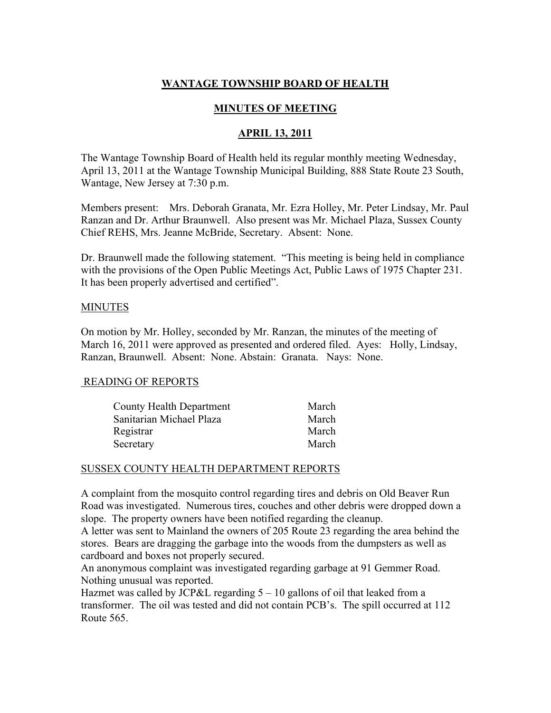# WANTAGE TOWNSHIP BOARD OF HEALTH

# MINUTES OF MEETING

### APRIL 13, 2011

The Wantage Township Board of Health held its regular monthly meeting Wednesday, April 13, 2011 at the Wantage Township Municipal Building, 888 State Route 23 South, Wantage, New Jersey at 7:30 p.m.

Members present: Mrs. Deborah Granata, Mr. Ezra Holley, Mr. Peter Lindsay, Mr. Paul Ranzan and Dr. Arthur Braunwell. Also present was Mr. Michael Plaza, Sussex County Chief REHS, Mrs. Jeanne McBride, Secretary. Absent: None.

Dr. Braunwell made the following statement. "This meeting is being held in compliance with the provisions of the Open Public Meetings Act, Public Laws of 1975 Chapter 231. It has been properly advertised and certified".

#### **MINUTES**

On motion by Mr. Holley, seconded by Mr. Ranzan, the minutes of the meeting of March 16, 2011 were approved as presented and ordered filed. Ayes: Holly, Lindsay, Ranzan, Braunwell. Absent: None. Abstain: Granata. Nays: None.

### READING OF REPORTS

| <b>County Health Department</b> | March |
|---------------------------------|-------|
| Sanitarian Michael Plaza        | March |
| Registrar                       | March |
| Secretary                       | March |

### SUSSEX COUNTY HEALTH DEPARTMENT REPORTS

A complaint from the mosquito control regarding tires and debris on Old Beaver Run Road was investigated. Numerous tires, couches and other debris were dropped down a slope. The property owners have been notified regarding the cleanup.

A letter was sent to Mainland the owners of 205 Route 23 regarding the area behind the stores. Bears are dragging the garbage into the woods from the dumpsters as well as cardboard and boxes not properly secured.

An anonymous complaint was investigated regarding garbage at 91 Gemmer Road. Nothing unusual was reported.

Hazmet was called by JCP&L regarding 5 – 10 gallons of oil that leaked from a transformer. The oil was tested and did not contain PCB's. The spill occurred at 112 Route 565.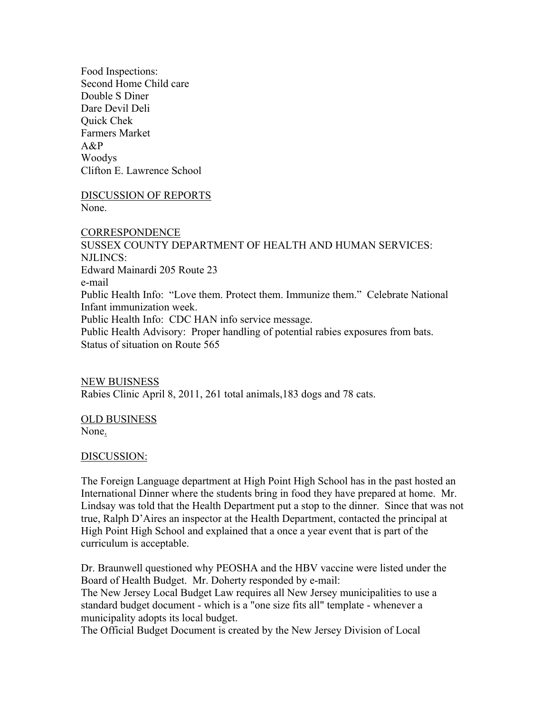Food Inspections: Second Home Child care Double S Diner Dare Devil Deli Quick Chek Farmers Market A&P Woodys Clifton E. Lawrence School

DISCUSSION OF REPORTS None.

**CORRESPONDENCE** SUSSEX COUNTY DEPARTMENT OF HEALTH AND HUMAN SERVICES: NJLINCS: Edward Mainardi 205 Route 23 e-mail Public Health Info: "Love them. Protect them. Immunize them." Celebrate National Infant immunization week. Public Health Info: CDC HAN info service message. Public Health Advisory: Proper handling of potential rabies exposures from bats. Status of situation on Route 565

NEW BUISNESS Rabies Clinic April 8, 2011, 261 total animals,183 dogs and 78 cats.

OLD BUSINESS None.

DISCUSSION:

The Foreign Language department at High Point High School has in the past hosted an International Dinner where the students bring in food they have prepared at home. Mr. Lindsay was told that the Health Department put a stop to the dinner. Since that was not true, Ralph D'Aires an inspector at the Health Department, contacted the principal at High Point High School and explained that a once a year event that is part of the curriculum is acceptable.

Dr. Braunwell questioned why PEOSHA and the HBV vaccine were listed under the Board of Health Budget. Mr. Doherty responded by e-mail:

The New Jersey Local Budget Law requires all New Jersey municipalities to use a standard budget document - which is a "one size fits all" template - whenever a municipality adopts its local budget.

The Official Budget Document is created by the New Jersey Division of Local